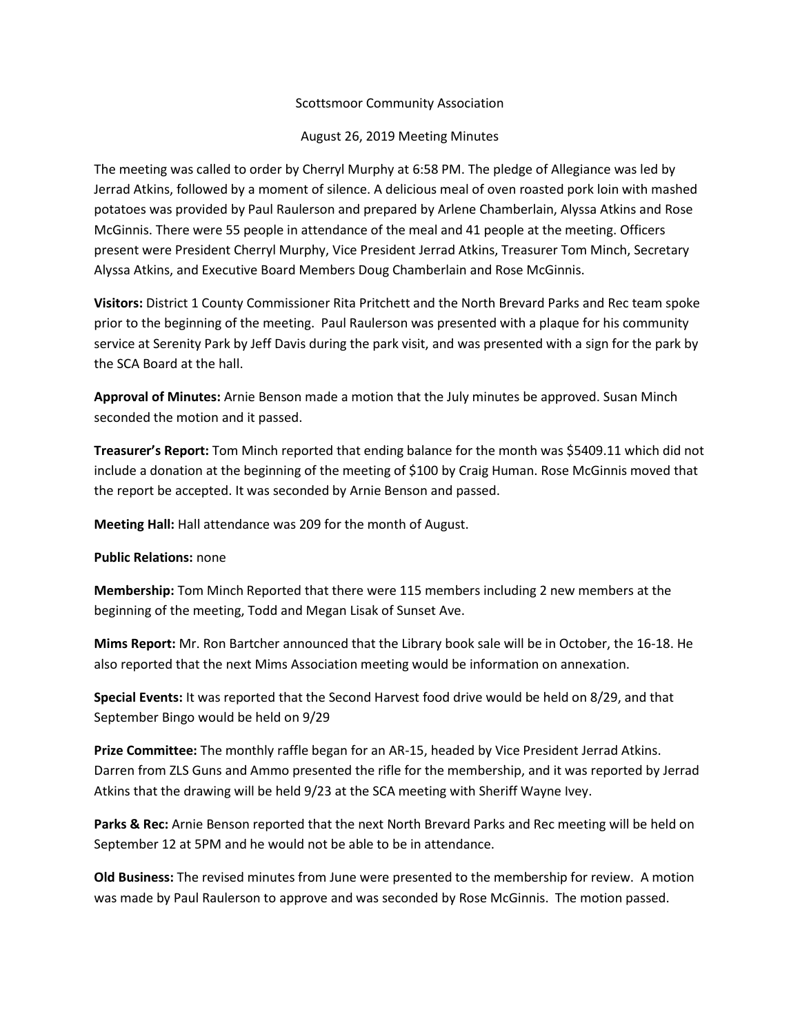## Scottsmoor Community Association

## August 26, 2019 Meeting Minutes

The meeting was called to order by Cherryl Murphy at 6:58 PM. The pledge of Allegiance was led by Jerrad Atkins, followed by a moment of silence. A delicious meal of oven roasted pork loin with mashed potatoes was provided by Paul Raulerson and prepared by Arlene Chamberlain, Alyssa Atkins and Rose McGinnis. There were 55 people in attendance of the meal and 41 people at the meeting. Officers present were President Cherryl Murphy, Vice President Jerrad Atkins, Treasurer Tom Minch, Secretary Alyssa Atkins, and Executive Board Members Doug Chamberlain and Rose McGinnis.

**Visitors:** District 1 County Commissioner Rita Pritchett and the North Brevard Parks and Rec team spoke prior to the beginning of the meeting. Paul Raulerson was presented with a plaque for his community service at Serenity Park by Jeff Davis during the park visit, and was presented with a sign for the park by the SCA Board at the hall.

**Approval of Minutes:** Arnie Benson made a motion that the July minutes be approved. Susan Minch seconded the motion and it passed.

**Treasurer's Report:** Tom Minch reported that ending balance for the month was \$5409.11 which did not include a donation at the beginning of the meeting of \$100 by Craig Human. Rose McGinnis moved that the report be accepted. It was seconded by Arnie Benson and passed.

**Meeting Hall:** Hall attendance was 209 for the month of August.

## **Public Relations:** none

**Membership:** Tom Minch Reported that there were 115 members including 2 new members at the beginning of the meeting, Todd and Megan Lisak of Sunset Ave.

**Mims Report:** Mr. Ron Bartcher announced that the Library book sale will be in October, the 16-18. He also reported that the next Mims Association meeting would be information on annexation.

**Special Events:** It was reported that the Second Harvest food drive would be held on 8/29, and that September Bingo would be held on 9/29

**Prize Committee:** The monthly raffle began for an AR-15, headed by Vice President Jerrad Atkins. Darren from ZLS Guns and Ammo presented the rifle for the membership, and it was reported by Jerrad Atkins that the drawing will be held 9/23 at the SCA meeting with Sheriff Wayne Ivey.

**Parks & Rec:** Arnie Benson reported that the next North Brevard Parks and Rec meeting will be held on September 12 at 5PM and he would not be able to be in attendance.

**Old Business:** The revised minutes from June were presented to the membership for review. A motion was made by Paul Raulerson to approve and was seconded by Rose McGinnis. The motion passed.